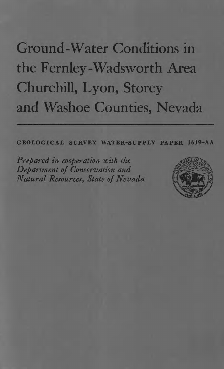## Ground-Water Conditions in the Fernley -Wadsworth Area Churchill, Lyon, Storey and Washoe Counties, Nevada

## **GEOLOGICAL SURVEY WATER-SUPPLY PAPER 1619-AA**

*Prepared in cooperation with the Department of Conservation and Natural Resources, State of Nevada*

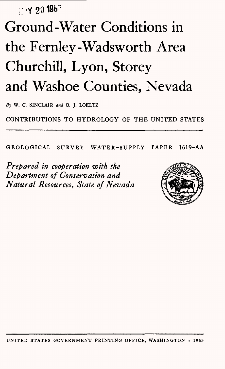$.4 \times 20^{196}$ 

# Ground-Water Conditions in the Fernley-Wadsworth Area Churchill, Lyon, Storey and Washoe Counties, Nevada

*By* W. C. SINCLAIR *and* O. J. LOELTZ

CONTRIBUTIONS TO HYDROLOGY OF THE UNITED STATES

GEOLOGICAL SURVEY WATER-SUPPLY PAPER 1619-AA

*Prepared in cooperation with the Department of Conservation and Natural Resources, State of Nevada*

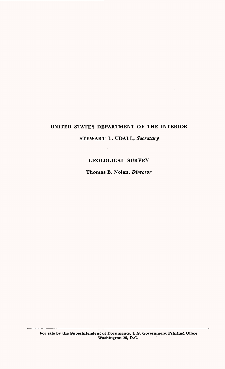## **UNITED STATES DEPARTMENT OF THE INTERIOR**

#### **STEWART L. UDALL,** *Secretary*

 $\bar{z}$ 

 $\hat{t}$ 

#### **GEOLOGICAL SURVEY**

**Thomas B. Nolan,** *Director*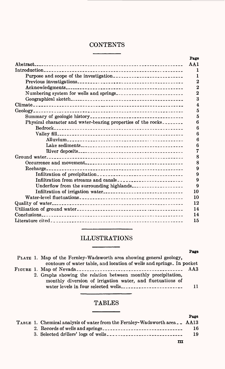## **CONTENTS** <u> Alexandria de A</u>

 $\overline{a}$ 

| Abstract_                                                    |
|--------------------------------------------------------------|
|                                                              |
|                                                              |
|                                                              |
|                                                              |
| Numbering system for wells and springs_                      |
|                                                              |
|                                                              |
| $Geology$ <sub>---------</sub>                               |
|                                                              |
| Physical character and water-bearing properties of the rocks |
|                                                              |
|                                                              |
|                                                              |
|                                                              |
|                                                              |
|                                                              |
|                                                              |
|                                                              |
|                                                              |
|                                                              |
| Underflow from the surrounding highlands                     |
| Infiltration of irrigation water                             |
|                                                              |
|                                                              |
|                                                              |
|                                                              |
|                                                              |
|                                                              |

## ILLUSTRATIONS

<u> 1980 - Antonio Alemania, presidente del</u>

 $\overline{a}$ 

#### Page

|  | PLATE 1. Map of the Fernley-Wadsworth area showing general geology,   |    |
|--|-----------------------------------------------------------------------|----|
|  | contours of water table, and location of wells and springs. In pocket |    |
|  |                                                                       |    |
|  | 2. Graphs showing the relation between monthly precipitation,         |    |
|  | monthly diversion of irrigation water, and fluctuations of            |    |
|  |                                                                       | 11 |

## TABLES

|  |                                                                          | Page |
|--|--------------------------------------------------------------------------|------|
|  | TABLE 1. Chemical analysis of water from the Fernley-Wadsworth area AA13 |      |
|  |                                                                          | 16   |
|  |                                                                          | 19   |
|  |                                                                          |      |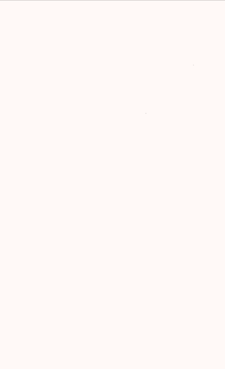$\label{eq:2.1} \frac{1}{\sqrt{2}}\left(\frac{1}{\sqrt{2}}\right)^{2} \left(\frac{1}{\sqrt{2}}\right)^{2} \left(\frac{1}{\sqrt{2}}\right)^{2} \left(\frac{1}{\sqrt{2}}\right)^{2} \left(\frac{1}{\sqrt{2}}\right)^{2} \left(\frac{1}{\sqrt{2}}\right)^{2} \left(\frac{1}{\sqrt{2}}\right)^{2} \left(\frac{1}{\sqrt{2}}\right)^{2} \left(\frac{1}{\sqrt{2}}\right)^{2} \left(\frac{1}{\sqrt{2}}\right)^{2} \left(\frac{1}{\sqrt{2}}\right)^{2} \left(\$  $\label{eq:2.1} \frac{1}{\sqrt{2}}\left(\frac{1}{\sqrt{2}}\right)^{2} \left(\frac{1}{\sqrt{2}}\right)^{2} \left(\frac{1}{\sqrt{2}}\right)^{2} \left(\frac{1}{\sqrt{2}}\right)^{2} \left(\frac{1}{\sqrt{2}}\right)^{2} \left(\frac{1}{\sqrt{2}}\right)^{2} \left(\frac{1}{\sqrt{2}}\right)^{2} \left(\frac{1}{\sqrt{2}}\right)^{2} \left(\frac{1}{\sqrt{2}}\right)^{2} \left(\frac{1}{\sqrt{2}}\right)^{2} \left(\frac{1}{\sqrt{2}}\right)^{2} \left(\$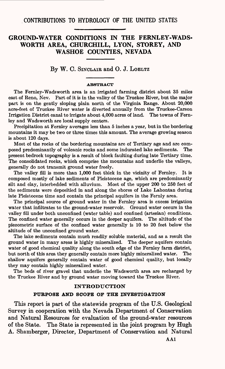CONTRIBUTIONS TO HYDROLOGY OF THE UNITED STATES

## **GROUND-WATER CONDITIONS IN THE FERNLEY-WADS-WORTH AREA, CHURCHILL, LYON, STOREY, AND WASHOE COUNTIES, NEVADA**

By W. C. SINCLAIR and O. J. LOELTZ

#### **ABSTRACT**

The Fernley-Wadsworth area is an irrigated farming district about 35 miles east of Reno, Nev. Part of it is in the valley of the Truckee River, but the major part is on the gently sloping plain north of the Virginia Range. About 20,000 acre-feet of Truckee River water is diverted annually from the Truckee-Carson Irrigation District canal to irrigate about 4,000 acres of land. The towns of Fernley and Wadsworth are local supply centers.

Precipitation at Fernley averages less than 5 inches a year, but in the bordering mountains it may be two or three times this amount. The average growing season is about 120 days.

Most of the rocks of the bordering mountains are of Tertiary age and are composed predominantly of volcanic rocks and some indurated lake sediments. The present bedrock topography is a result of block faulting during late Tertiary time. The consolidated rocks, which comprise the mountains and underlie the valleys, generally do not transmit ground water freely.

The valley fill is more than 1,000 feet thick in the vicinity of Fernley. It is composed mostly of lake sediments of Pleistocene age, which are predominantly silt and clay, interbedded with alluvium. Most of the upper 200 to 250 feet of the sediments were depositied in and along the shores of Lake Lahontan during late Pleistocene time and contain the principal aquifers in the Fernly area.

The principal source of ground water in the Fernley area is excess irrigation water that infiltrates to the ground-water reservoir. Ground water occurs in the valley fill under both unconfined (water table) and confined (artesian) conditions. The confined water generally occurs in the deeper aquifers. The altitude of the piezometric surface of the confined water generally is 10 to 20 feet below the altitude of the unconfined ground water.

The lake sediments contain much readily soluble material, and as a result the ground water in many areas is highly mineralized. The deeper aquifers contain water of good chemical quality along the south edge of the Fernley farm district, but north of this area they generally contain more highly mineralized water. The shallow aquifers generally contain water of good chemical quality, but locally they may contain highly mineralized water.

The beds of river gravel that underlie the Wadsworth area are recharged by the Truckee River and by ground water moving toward the Truckee River.

#### **INTRODUCTION**

#### PURPOSE AND SCOPE OF THE INVESTIGATION

This report is part of the statewide program of the U.S. Geological Survey in cooperation with the Nevada Department of Conservation and Natural Resources for evaluation of the ground-water resources of the State. The State is represented in the joint program by Hugh A. Shamberger, Director, Department of Conservation and Natural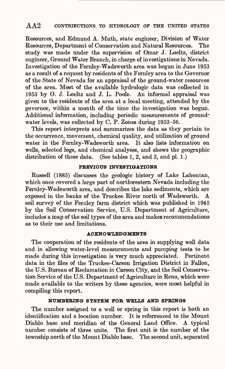## AA2 CONTRIBUTIONS TO HYDROLOGY OF THE UNITED STATES

Resources, and Edmund A. Muth, state engineer, Division of Water Resources, Department of Conservation and Natural Resources. The study was made under the supervision of Omar J. Loeltz, district engineer, Ground Water Branch, in charge of investigations in Nevada. Investigation of the Fernley-Wadsworth area was begun in June 1953 as a result of a request by residents of the Fernley area to the Governor of the State of Nevada for an appraisal of the ground-water resources of the area. Most of the available hydrologic data was collected in 1953 by O. J. Loeltz and J. L. Poole. An informal appraisal was given to the residents of the area at a local meeting, attended by the governor, within a month of the time the investigation was begun. Additional information, including periodic measurements of groundwater levels, was collected by C. P. Zones during 1953-56.

This report interprets and summarizes the data as they pertain to the occurrence, movement, chemical quality, and utilization of ground water in the Fernley-Wadsworth area. It also lists information on wells, selected logs, and chemical analyses, and shows the geographic distribution of these data. (See tables 1, 2, and 3, and pl. 1.)

## **PREVIOUS INVESTIGATIONS**

Russell (1885) discusses the geologic history of Lake Lahontan, which once covered a large part of northwestern Nevada including the Fernley-Wadsworth area, and describes the lake sediments, which are exposed in the banks of the Truckee River north of Wadsworth. A soil survey of the Femley farm district which was published in 1945 by the Soil Conservation Service, U.S. Department of Agriculture, includes a map of the soil types of the area and makes recommendations as to their use and limitations.

#### **ACKNOWLEDGMENTS**

The cooperation of the residents of the area in supplying well data and in allowing water-level measurements and pumping tests to be made during this investigation is very much appreciated. Pertinent data in the files of the Truckee-Carson Irrigation District in Fallon, the U.S. Bureau of Reclamation in Carson City, and the Soil Conservation Service of the U.S. Department of Agriculture in Reno, which were made available to the writers by these agencies, were most helpful in compiling this report.

## **NUMBERING SYSTEM FOR WELLS AND SPRINGS**

The number assigned to a well or spring in this report is both an identification and a location number. It is referrenced to the Mount Diablo base and meridian of the General Land Office. A typical number consists of three units. The first unit is the number of the township north of the Mount Diablo base. The second unit, separated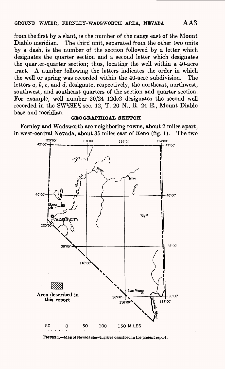from the first by a slant, is the number of the range east of the Mount Diablo meridian. The third unit, separated from the other two units by a dash, is the number of the section followed by a letter which designates the quarter section and a second letter which designates the quarter-quarter section; thus, locating the well within a 40-acre tract. A number following the letters indicates the order in which the well or spring was recorded within the 40-acre subdivision. The letters a, *b, c,* and *d,* designate, respectively, the northeast, northwest, southwest, and southeast quarters of the section and quarter section. For example, well number 20/24-12dc2 designates the second well recorded in the SW<sup>1</sup> $/$ SE<sup>1</sup> $/$  sec. 12, T. 20 N., R. 24 E., Mount Diablo base and meridian.

#### **QEOGRAPHICAL SKETCH**

Fernley and Wadsworth are neighboring towns, about 2 miles apart, in west-central Nevada, about 35 miles east of Reno (fig. 1). The two



FIGURE 1.-Map of Nevada showing area described in the present report.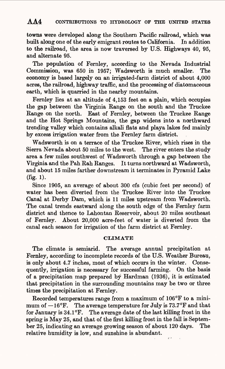towns were developed along the Southern Pacific railroad, which was built along one of the early emigrant routes to California. In addition to the railroad, the area is now traversed by U.S. Highways 40, 95, and alternate 95.

The population of Fernley, according to the Nevada Industrial Commission, was 650 in 1957; Wadsworth is much smaller. The economy is based largely on an irrigated-farm district of about 4,000 acres, the railroad, highway traffic, and the processing of diatomaceous earth, which is quarried in the nearby mountains.

Fernley lies at an altitude of 4,153 feet on a plain, which occupies the gap between the Virginia Range on the south and the Truckee Range on the north. East of Fernley, between the Truckee Range and the Hot Springs Mountains, the gap widens into a northward trending valley which contains alkali flats and playa lakes fed mainly by excess irrigation water from the Fernley farm district.

Wadsworth is on a terrace of the Truckee River, which rises in the Sierra Nevada about 50 miles to the west. The river enters the study area a few miles southwest of Wadsworth through a gap between the Virginia and the Pah Rah Ranges. It turns northward at Wadsworth, and about 15 miles farther downstream it terminates in Pyramid Lake (fig. 1).

Since 1905, an average of about 300 cfs (cubic feet per second) of water has been diverted from the Truckee River into the Truckee Canal at Derby Dam, which is 11 miles upstream from Wadsworth. The canal trends eastward along the south edge of the Fernley farm district and thence to Lahontan Reservoir, about 20 miles southeast of Fernley. About 20,000 acre-feet of water is diverted from the canal each season for irrigation of the farm district at Fernley.

### **CLIMATE**

The climate is semiarid. The average annual precipitation at Fernley, according to incomplete records of the U.S. Weather Bureau, is only about 4.7 inches. most of which occurs in the winter. Conseis only about 4.7 inches, most of which occurs in the winter. quently, irrigation is necessary for successful farming. On the basis of a precipitation map prepared *lof* Hardman (1936), it is estimated that precipitation in the surrounding mountains may be two or three times the precipitation at Fernley.

Recorded temperatures range from a maximum of 106°F to a minimum of  $-16^{\circ}\text{F}$ . The average temperature for July is 73.7°F and that for January is 34.1°F. The average date of the last killing frost in the spring is  $\text{May } 25$ , and that of the first killing frost in the fall is September 25, indicating an average growing season of about 120 days. The relative humidity is low, and sunshine is abundant.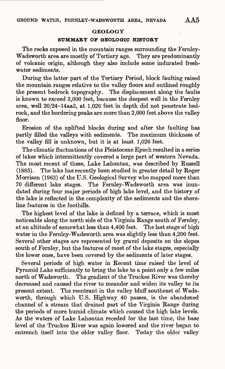#### **GEOLOGY**

## **SUMMARY OF GEOLOGIC HISTORY**

The rocks exposed in the mountain ranges surrounding the Fernley-Wadsworth area are mostly of Tertiary age. They are predominantly of volcanic origin, although they also include some indurated freshwater sediments.

During the latter part of the Tertiary Period, block faulting raised the mountain ranges relative to the valley floors and outlined roughly the present bedrock topography. The displacement along the faults is known to exceed 3,000 feet, because the deepest well in the Fernley area, well 20/24-14aa3, at 1,026 feet in depth did not penetrate bedrock, and the bordering peaks are more than 2,000 feet above the valley floor.

Erosion of the uplifted blocks during and after the faulting has partly filled the valleys with sediments. The maximum thickness of the valley fill is unknown, but it is at least 1,026 feet.

The climatic fluctuations of the Pleistocene Epoch resulted in a series of lakes which intermittently covered a large part of western Nevada. The most recent of these, Lake Lahontan, was described by Russell (1885). The lake has recently been studied in greater detail by Roger Morrison (1963) of the U.S. Geological Survey who mapped more than 70 different lake stages. The Fernley-Wadsworth area was inundated during four major periods of high lake level, and the history of the lake is reflected in the complexity of the sediments and the shoreline features in the foothills.

The highest level of the lake is defined by a terrace, which is most noticeable along the north side of the Virginia Range south of Fernley, at an altitude of somewhat less than 4,400 feet. The last stage of high water in the Fernley-Wadsworth area was slightly less than 4,200 feet. Several other stages are represented by gravel deposits on the slopes south of Fernley, but the features of most of the lake stages, especially the lower ones, have been covered by the sediments of later stages.

Several periods of high water in Recent time raised the level of Pyramid Lake sufficiently to bring the lake to a point only a few miles north of Wadsworth. The gradient of the Truckee River was thereby decreased and caused the river to meander and widen its valley to its present extent. The reentrant in the valley bluff southeast of Wadsworth, through which U.S. Highway 40 passes, is the abandoned channel of a stream that drained part of the Virginia Range during the periods of more humid climate which caused the high lake levels. As the waters of Lake Lahontan receded for the last time, the base level of the Truckee River was again lowered and the river began to entrench itself into the older valley floor. Today the older valley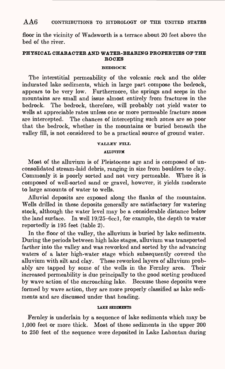## AA6 CONTRIBUTIONS TO HYDROLOGY OF THE UNITED STATES

floor in the vicinity of Wadsworth is a terrace about 20 feet above the bed of the river.

#### **PHYSICAL CHABACTEB AND WATEB-BEABING PBOPEBTIES OF THE BOCKS**

#### **BEDROCK**

The interstitial permeability of the volcanic rock and the older indurated lake sediments, which in large part compose the bedrock, appears to be very low. Furthermore, the springs and seeps in the mountains are small and issue almost entirely from fractures in the bedrock. The bedrock, therefore, will probably not yield water to wells at appreciable rates unless one or more permeable fracture zones are intercepted. The chances of intercepting such zones are so poor that the bedrock, whether in the mountains or buried beneath the valley fill, is not considered to be a practical source of ground water.

## **VAli/EY** *FILL,*

#### **ALLUVIUM**

Most of the alluvium is of Pleistocene age and is composed of unconsolidated stream-laid debris, ranging in size from boulders to clay. Commonly it is poorly sorted and not very permeable. Where it is composed of well-sorted sand or gravel, however, it yields moderate to large amounts of water to wells.

Alluvial deposits are exposed along the flanks of the mountains. Wells drilled in these deposits generally are satisfactory for watering stock, although the water level may be a considerable distance below the land surface. In well 19/25-6ccl, for example, the depth to water reportedly is 195 feet (table 2).

In the floor of the valley, the alluvium is buried by lake sediments. During the periods between high lake stages, alluvium was transported farther into the valley and was reworked and sorted by the advancing waters of a later high-water stage which subsequently covered the alluvium with silt and clay. These reworked layers of alluvium probably are tapped by some of the wells in the Fernley area. Their increased permeability is due principally to the good sorting produced by wave action of the encroaching lake. Because these deposits were formed by wave action, they are more properly classified as lake sediments and are discussed under that heading.

#### LAKE SEDIMENTS

Fernley is underlain by a sequence of lake sediments which may be 1,000 feet or more thick. Most of these sediments in the upper 200 to 250 feet of the sequence were deposited in Lake Lahontan during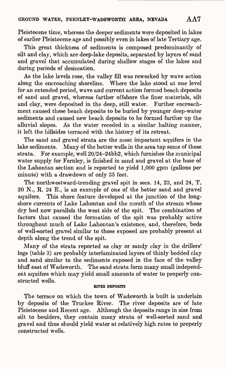Pleistocene time, whereas the deeper sediments were deposited in lakes of earlier Pleistocene age and possibly even in lakes of late Tertiary age.

This great thickness of sediments is composed predominantly of silt and clay, which are deep-lake deposits, separated by layers of sand and gravel that accumulated during shallow stages of the lakes and during periods of desiccation.

As the lake levels rose, the valley fill was reworked by wave action along the encroaching shoreline. Where the lake stood at one level for an extended period, wave and current action formed beach deposits of sand and gravel, whereas farther offshore the finer materials, silt and clay, were deposited in the deep, still water. Further encroachment caused these beach deposits to be buried by younger deep-water sediments and caused new beach deposits to be formed farther up the alluvial slopes. As the water receded in a similar. halting manner, it left the hillsides terraced with the history of its retreat.

The sand and gravel strata are the most important aquifers in the lake sediments. Many of the better wells in the area tap some of these strata. For example, well 20/24-24bb2, which furnishes the municipal water supply for Fernley, is finished in sand and gravel at the base of the Lahontan section and is reported to yield 1,000 gpm (gallons per minute) with a drawdown of only 35 feet.

The northwestward-trending gravel spit in sees. 14, 23, and 24, T. 20 N., R. 24 E., is an example of one of the better sand and gravel aquifers. This shore feature developed at the junction of the longshore currents of Lake Lahontan and the mouth of the stream whose dry bed now parallels the west side of the spit. The combination of factors that caused the formation of the spit was probably active throughout much of Lake Lahontan's existence, and, therefore, beds of well-sorted gravel similar to those exposed are probably present at depth along the trend of the spit.

Many of the strata reported as clay or sandy clay in the drillers' logs (table 3) are probably interlaminated layers of thinly bedded clay and sand similar to the sediments exposed in the face of the valley bluff east of Wadsworth. The sand strata form many small independent aquifers which may yield small amounts of water to properly constructed wells.

#### **RIVER DEPOSITS**

The terrace on which the town of Wadsworth is built is underlain by deposits of the Truckee River. The river deposits are of late Pleistocene and Recent age. Although the deposits range in size from silt to boulders, they contain many strata of well-sorted sand and gravel and thus should yield water at relatively high rates to properly constructed wells.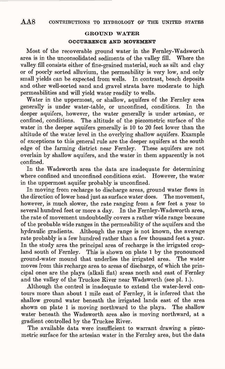## **GROUND WATER OCCUBBENCE AND MOVEMENT**

Most of the recoverable ground water in the Fernley-Wadsworth area is in the unconsolidated sediments of the valley fill. Where the valley fill consists either of fine-grained material, such as silt and clay or of poorly sorted alluvium, the permeability is very low, and only small yields can be expected from wells. In contrast, beach deposits and other well-sorted sand and gravel strata have moderate to high permeabilities and will yield water readily to wells.

Water in the uppermost, or shallow, aquifers of the Fernley area generally is under water-table, or unconfined, conditions. In the deeper aquifers, however, the water generally is under artesian, or confined, conditions. The altitude of the piezometric surface of the water in the deeper aquifers generally is 10 to 20 feet lower than the altitude of the water level in the overlying shallow aquifers. Example of exceptions to this general rule are the deeper aquifers at the south edge of the farming district near Fernley. These aquifers are not overlain by shallow aquifers, and the water in them apparently is not confined.

In the Wadsworth area the data are inadequate for determining<br>here confined and unconfined conditions exist. However, the water where confined and unconfined conditions exist. in the uppermost aquifer probably is unconfined.

In moving from recharge to discharge areas, ground water flows in the direction of lower head just as surface water does. The movement, however, is much slower, the rate ranging from a few feet a year to several hundred feet or more a day. In the Fernley-Wadsworth area, the rate of movement undoubtedly covers a rather wide range because of the probable wide ranges in the permeability of the aquifers and the hydraulic gradients. Although the range is not known, the average rate probably is a few hundred rather than a few thousand feet a year. In the study area the principal area of recharge is the irrigated cropland south of Fernley. This is shown on plate 1 by the pronounced ground-water mound that underlies the irrigated area. The water moves from this recharge area to areas of discharge, of which the principal ones are the playa (alkali flat) areas north and east of Fernley and the valley of the Truckee River near Wadsworth (see pi. 1.).

Although the control is inadequate to extend the water-level contours more than about 1 mile east of Fernley, it is inferred that the shallow ground water beneath the irrigated lands east of the area shown on plate 1 is moving northward to the playa. The shallow water beneath the Wadsworth area also is moving northward, at a gradient controlled by the Truckee River.

The available data were insufficient to warrant drawing a piezometric surface for the artesian water in the Fernley area, but the data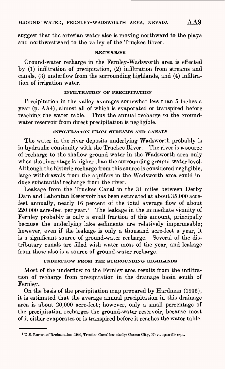suggest that the artesian water also is moving northward to the playa and northwestward to the valley of the Truckee River.

#### **RECHARGE**

Ground-water recharge in the Fernley-Wadsworth area is effected by (1) infiltration of precipitation, (2) infiltration from streams and canals, (3) underflow from the surrounding highlands, and (4) infiltration of irrigation water.

#### **INFILTRATION OF PRECIPITATION**

Precipitation in the valley averages somewhat less than 5 inches a year (p. AA4), almost all of which is evaporated or transpired before reaching the water table. Thus the annual recharge to the groundwater reservoir from direct precipitation is negligible.

## **INFILTRATION FROM STREAMS AND CANALS**

The water in the river deposits underlying Wadsworth probably is in hydraulic continuity with the Truckee River. The river is a source of recharge to the shallow ground water in the Wadsworth area only when the river stage is higher than the surrounding ground-water level. Although the historic recharge from this source is considered negligible, large withdrawals from the aquifers in the Wadsworth area could induce substantial recharge from the river.

Leakage from the Truckee Canal in the 31 miles between Derby Dam and Lahontan Reservoir has been estimated at about 35,000 acrefeet annually, nearly 16 percent of the total average flow of about  $220,000$  acre-feet per year.<sup>1</sup> The leakage in the immediate vicinity of Fernley probably is only a small fraction of this amount, principally because the underlying lake sediments are relatively impermeable; however, even if the leakage is only a thousand acre-feet a year, it is a significant source of ground-water recharge. Several of the distributary canals are filled with water most of the year, and leakage from these also is a source of ground-water recharge.

## **UNDERFLOW FROM THE SURROUNDING HIGHLANDS**

Most of the underflow to the Fernley area results from the infiltration of recharge from precipitation in the drainage basin south of Fernley.

On the basis of the precipitation map prepared by Hardman (1936), it is estimated that the average annual precipitation in this drainage area is about 20,000 acre-feet; however, only a small percentage of the precipitation recharges the ground-water reservoir, because most of it either evaporates or is transpired before it reaches the water table.

<sup>1</sup> U.S. Bureau of Reclamation, 1949, Truckee Canal loss study: Carson City, Nev., open-file rept.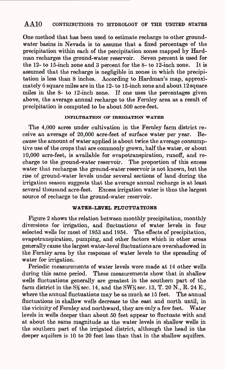## **AA10 CONTRIBUTIONS TO HYDROLOGY OF THE UNITED STATES**

One method that has been used to estimate recharge to other groundwater basins in Nevada is to assume that a fixed percentage of the precipitation within each of the percipitation zones mapped by Hardman recharges the ground-water reservoir. Seven percent is used for the 12- to 15-inch zone and 3 percent for the 8- to 12-inch zone. It is assumed that the recharge is negligible in zones in which the precipitation is less than 8 inches. According to Hardman's map, approximately 6 square miles are in the 12- to 15-inch zone and about 12 square miles in the 8- to 12-inch zone. If one uses the percentages given above, the average annual recharge to the Fernley area as a result of precipitation is computed to be about 500 acre-feet.

#### **ESTFILiTRATION OF IRRIGATION WATER**

The 4,000 acres under cultivation in the Fernley farm district receive an average of  $20,000$  acre-feet of surface water per year. cause the amount of water applied is about twice the average consumptive use of the crops that are commonly grown, half the water, or about 10,000 acre-feet, is available for evapotranspiration, runoff, and recharge to the ground-water reservoir. The proportion of this excess water that recharges the ground-water reservoir is not known, but the rise of ground-water levels under several sections of land during the irrigation season suggests that the average annual recharge is at least several thousand acre-feet. Excess irrigation water is thus the largest source of recharge to the ground-water reservoir.

## **WATER-LEVEL FLUCTUATIONS**

Figure 2 shows the relation between monthly precipitation, monthly diversions for irrigation, and fluctuations of water levels in four selected wells for most of 1953 and 1954. The effects of precipitation, evapotranspiration, pumping, and other factors which in other areas generally cause the largest water-level fluctuations are overshadowed in the Fernley area by the response of water levels to the spreading of water for irrigation.

Periodic measurements of water levels were made at 14 other wells during this same period. These measurements show that in shallow wells fluctuations generally are greatest in the southern part of the farm district in the  $S_2$  sec. 14, and the SW $\frac{1}{4}$  sec. 13, T. 20 N., R. 24 E., where the annual fluctuations may be as much as 15 feet. The annual fluctuations in shallow wells decrease to the east and north until, in the vicinity of Fernley and northward, they are only a few feet. Water levels in wells deeper than about 50 feet appear to fluctuate with and at about the same magnitude as the water levels in shallow wells in the southern part of the irrigated district, although the head in the deeper aquifers is 10 to 20 feet less than that in the shallow aquifers.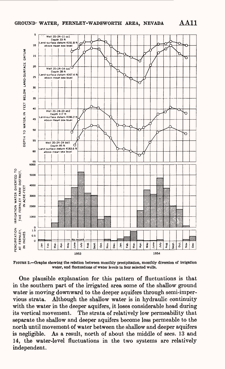



FIQUBE 2. Graphs showing the relation between monthly precipitation, monthly diversion of irrigation water, and fluctuations of water levels in four selected wells.

One plausible explanation for this pattern of fluctuations is that in the southern part of the irrigated area some of the shallow ground water is moving downward to the deeper aquifers through semi-impervious strata. Although the shallow water is in hydraulic continuity with the water in the deeper aquifers, it loses considerable head during its vertical movement. The strata of relatively low permeability that separate the shallow and deeper aquifers become less permeable to the north until movement of water between the shallow and deeper aquifers is negligible. As a result, north of about the middle of sees. 13 and 14, the water-level fluctuations in the two systems are relatively independent.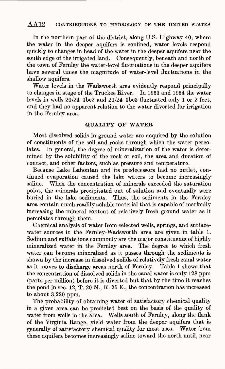## **AA12** CONTRIBUTIONS TO HYDROLOGY OF THE UNITED STATES

In the northern part of the district, along U.S. Highway 40, where the water in the deeper aquifers is confined, water levels respond quickly to changes in head of the water in the deeper aquifers near the south edge of the irrigated land. Consequently, beneath and north of the town of Fernley the water-level fluctuations in the deeper aquifers have several times the magnitude of water-level fluctuations in the shallow aquifers.

Water levels in the Wadsworth area evidently respond principally to changes in stage of the Truckee River. In 1953 and 1954 the water levels in wells 20/24-3bc2 and 20/24-3bc3 fluctuated only 1 or 2 feet, and they had no apparent relation to the water diverted for irrigation in the Fernley area.

#### **QUALITY OF WATER**

Most dissolved solids in ground water are acquired by the solution of constituents of the soil and rocks through which the water percolates. In general, the degree of mineralization of the water is determined by the solubility of the rock or soil, the area and duration of contact, and other factors, such as pressure and temperature.

Because Lake Lahontan and its predecessors had no outlet, continued evaporation caused the lake waters to become increasingly saline. When the concentration of minerals exceeded the saturation point, the minerals precipitated out of solution and eventually were buried in the lake sediments. Thus, the sediments in the Fernley area contain much readily soluble material that is capable of markedly increasing the mineral content of relatively fresh ground water as it percolates through them.

Chemical analysis of water from selected wells, springs, and surfacewater sources in the Fernley-Wadsworth area are given in table 1. Sodium and sulfate ions commonly are the major constituents of highly mineralized water in the Fernley area. The degree to which fresh water can become mineralized as it passes through the sediments is shown by the increase in dissolved solids of relatively fresh canal water as it moves to discharge areas north of Fernley. Table 1 shows that the concentration of dissolved solids in the canal water is only 128 ppm (parts per million) before it is diverted but that by the time it reaches the pond in sec. 12, T. 20 N., R. 25 E., the concentration has increased to about 3,220 ppm.

The probability of obtaining water of satisfactory chemical quality in a given area can be predicted best on the basis of the quality of water from wells in the area. Wells south of Fernley, along the flank of the Virginia Range, yield water from the deeper aquifers that is generally of satisfactory chemical quality for most uses. Water from these aquifers becomes increasingly saline toward the north until, near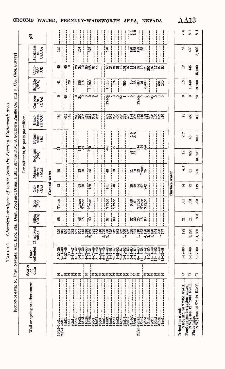| Source of data:                                                                                                                                    |                                     |                                                                                                          | N, Univ. Nevada; Agr. Expt. Sta., Dept. Food and Drugs, Public Service Div.; S, Southern Pacific Co.; and U, U.S. Geol. Survey |                  |                                      |                 |                                                       |                            |                                    |                                         |                                      |                               |                                        |                                   |          |
|----------------------------------------------------------------------------------------------------------------------------------------------------|-------------------------------------|----------------------------------------------------------------------------------------------------------|--------------------------------------------------------------------------------------------------------------------------------|------------------|--------------------------------------|-----------------|-------------------------------------------------------|----------------------------|------------------------------------|-----------------------------------------|--------------------------------------|-------------------------------|----------------------------------------|-----------------------------------|----------|
|                                                                                                                                                    |                                     |                                                                                                          |                                                                                                                                |                  |                                      |                 |                                                       |                            | Constituents, in parts per million |                                         |                                      |                               |                                        |                                   |          |
| Well or spring or other source                                                                                                                     | $\frac{\text{source}}{\text{data}}$ | Date<br>collected                                                                                        | Dissolved                                                                                                                      | Silica<br>(SiO2) | Cea1<br>C                            | ු පුලි<br>ප්පූල | $M_{\rm agne}$<br>sium<br>( $M_{\rm g}$ )             | Sodium<br>(Na)             | Potas-<br>sinm<br>(K)              | Bicar-<br>bonate<br>(HCO <sub>3</sub> ) | $\frac{\text{Carbon.}}{\text{attn}}$ | Sulfate<br>(SO <sub>4</sub> ) | ae<br>Bee                              | Hardness<br>್ಯಾರೆ<br>ರೂರಿ         | рH       |
|                                                                                                                                                    |                                     |                                                                                                          |                                                                                                                                |                  |                                      | Ground water    |                                                       |                            |                                    |                                         |                                      |                               |                                        |                                   |          |
| 19/25-6cc1<br>20/24-3bb1                                                                                                                           |                                     |                                                                                                          |                                                                                                                                | 35               | Trace                                | ্র              | $\Xi$                                                 | Ξ                          |                                    | $\mathbf{g}$                            | 0                                    | ⋥                             | ş                                      | 146                               |          |
| 3dd1                                                                                                                                               |                                     |                                                                                                          |                                                                                                                                |                  |                                      |                 |                                                       |                            |                                    |                                         | 48                                   |                               |                                        |                                   |          |
| 4aa1 <sub>----</sub>                                                                                                                               | ZoZZZZZ                             | အအုဆု<br>အနုသု<br>အနုသုံး                                                                                |                                                                                                                                |                  |                                      |                 |                                                       |                            |                                    | i99<br>19                               |                                      | :ន                            | ;ఇ∽                                    |                                   |          |
| $\ddot{\ddot{\text{}}}$<br>9da1                                                                                                                    |                                     |                                                                                                          |                                                                                                                                |                  |                                      |                 |                                                       |                            |                                    |                                         |                                      |                               |                                        |                                   |          |
| 1od2--------                                                                                                                                       | :Z                                  | 243488<br>475488<br>24488                                                                                | ន្តដូន្ននុន្នដូច                                                                                                               | \$2              | Trace<br>Trace                       | 38              | ಇ ಇ                                                   | $\frac{1}{12}$ ង           |                                    | <b>RAALLER</b>                          | ೦ಸ್ಥಂ೦೦೦೫                            | $\frac{185}{132}$             | នងដនទ្ទីដង                             | 284                               |          |
| 1dd4-------------<br>1dd6--------------                                                                                                            |                                     | $4 - 24 - 50$<br>$4 - 15 - 31$                                                                           | 38<br>$\sim$                                                                                                                   | ₽                | Trace                                | 80              | 3                                                     | ;ິ<br>ອີ້                  |                                    |                                         |                                      | 590<br>$\ddot{ }$             |                                        | $\frac{1}{6}$                     |          |
| 3ad1 <sub>------</sub> --<br>2cc1                                                                                                                  |                                     | $4 - 25 - 49$<br>$5 - 4 - 48$<br>4-28-47                                                                 |                                                                                                                                |                  |                                      |                 |                                                       |                            |                                    |                                         |                                      |                               |                                        |                                   |          |
| 3001<br>4aa1                                                                                                                                       |                                     | $6 - 15 - 4$                                                                                             |                                                                                                                                |                  |                                      |                 |                                                       |                            |                                    |                                         |                                      |                               |                                        |                                   |          |
| 4aa2<br>4ac1                                                                                                                                       |                                     |                                                                                                          |                                                                                                                                | $\overline{37}$  | Trace<br>Trace                       | $\frac{15}{15}$ | ¦\$                                                   | :43                        |                                    |                                         | Trace<br>7                           | ia<br>!                       |                                        | ig<br>iS                          |          |
| 4bal                                                                                                                                               |                                     | $\begin{array}{l} 44 \\ 47 \\ 47 \\ 49 \\ 49 \\ 50 \\ 60 \\ 74 \\ 74 \\ 19 \\ 10 \\ 10 \\ 1 \end{array}$ |                                                                                                                                | 8                | Trace                                | 48              | i≌                                                    | $\boldsymbol{\mathcal{Z}}$ |                                    |                                         |                                      | 12                            |                                        |                                   |          |
| 4cd2<br>4dd-                                                                                                                                       |                                     |                                                                                                          |                                                                                                                                |                  |                                      |                 |                                                       |                            |                                    |                                         |                                      |                               |                                        |                                   |          |
| 23ab2<br>23ab1                                                                                                                                     |                                     |                                                                                                          |                                                                                                                                |                  |                                      |                 |                                                       |                            |                                    |                                         |                                      | ုန္တ                          |                                        |                                   |          |
| 24bb2 <sub>----</sub><br>85ccl                                                                                                                     | :ZZZZZZZZZZZZDDZ                    | ぺヿヿヮヮ゚ヿヿ゚゚゚ヿ゚ヿヿヸヷヸ<br>゚゚゚゚ゟ゙゙ヷゖ゙ゖヸヿヸゖヸヸヸゖゖヸ<br>゚ゟ゚゠゙ゖヹゟ゚゠゚゠ヸゕヸゖヹゕ゚ヸ                                      |                                                                                                                                |                  |                                      |                 |                                                       | $\frac{4}{3}$              | 500<br>းက် လု                      | G888 - 888 3 3 3 3 3 3 3 3 3 4 5        | 00ನಿಗೂಂ                              |                               | ឧនគននក្នុងក្នុងនក <u>្ពន្</u> ជីឌីកូងខ | ន្នន្នន្ទន                        | 7.9      |
| 20/25 18ba1 <sub>-----</sub><br>8ba2                                                                                                               |                                     |                                                                                                          |                                                                                                                                | ລສສສສ            | ទី ខ្លួនខ្លួន<br>ខ្លួនខ្លួន<br>ខ្លួន | នទ្វងដង្ហ       | $\frac{11}{12}$<br>$\frac{13}{12}$<br>$\frac{13}{15}$ | ङ्कड                       |                                    |                                         | Trace                                | <b>ដន្ទនី</b> ឌឌឺ             |                                        |                                   |          |
| 19bb1                                                                                                                                              | <u>XZZZZZZ;</u>                     |                                                                                                          |                                                                                                                                |                  |                                      |                 |                                                       |                            |                                    |                                         | <b>000</b> ಇಂ                        | $\mathbf{a}$                  |                                        |                                   |          |
| g<br>Sod<br>19cb1                                                                                                                                  |                                     |                                                                                                          |                                                                                                                                |                  |                                      |                 |                                                       |                            |                                    |                                         |                                      |                               |                                        |                                   |          |
| 20bd1<br>19da1                                                                                                                                     |                                     |                                                                                                          |                                                                                                                                |                  |                                      |                 |                                                       |                            |                                    |                                         |                                      |                               |                                        |                                   |          |
| 21ac1                                                                                                                                              |                                     |                                                                                                          |                                                                                                                                |                  |                                      |                 |                                                       |                            |                                    |                                         |                                      | i젊을                           |                                        |                                   |          |
|                                                                                                                                                    |                                     |                                                                                                          |                                                                                                                                |                  |                                      | Surface water   |                                                       |                            |                                    |                                         |                                      |                               |                                        |                                   |          |
| Irrigation canal; T20N R24E<br>Pond, access irrigation water:<br>NWA sec. 12 T20N R25E<br>Playa WA sec. 26 T21N R25E<br>Playa WA sec. 26 T21N R25E | Þ                                   | $5 - 17 - 60$                                                                                            | 128                                                                                                                            | ন                | 5                                    | 14              | ب<br>آیه                                              | $\overline{a}$             | r<br>ci                            | r                                       | 0                                    | $\mathbf{r}$                  | ្អ                                     | జ                                 | $\infty$ |
|                                                                                                                                                    | Þ                                   | $5 - 17 - 60$                                                                                            | 3,220                                                                                                                          | 급                | ຮ                                    | 72              | 5                                                     | 922                        | \$                                 | 450                                     | $\circ$                              | 1,440                         | 445                                    | 430                               | œΰ       |
|                                                                                                                                                    | Þ                                   | $5 - 17 - 60$                                                                                            | 101,000                                                                                                                        | s<br>ထံ          | පී                                   | 449             | 658                                                   | 700<br>34,                 | 899                                | 306                                     | 5                                    | 18,700                        | 600<br>45,                             | 820<br>$\boldsymbol{\mathcal{S}}$ | ထံ       |
|                                                                                                                                                    |                                     |                                                                                                          |                                                                                                                                |                  |                                      |                 |                                                       |                            |                                    |                                         |                                      |                               |                                        |                                   |          |

TABLE 1.—Chemical analyses of water from the Fernley-Wadsworth area

GROUND WATER, FERNLEY-WADSWORTH AREA, NEVADA

 $AA13$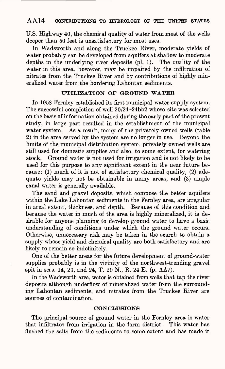## **AA14 CONTRIBUTIONS TO HYDROLOGY OP** THE UNITED STATES

U.S. Highway 40, the chemical quality of water from most of the wells deeper than 50 feet is unsatisfactory for most uses.

In Wadsworth and along the Truckee River, moderate yields of water probably can be developed from aquifers at shallow to moderate depths in the underlying river deposits (pi. 1). The quality of the water in this area, however, may be impaired by the infiltration of nitrates from the Truckee River and by contributions of highly mineralized water from the bordering Lahontan sediments.

## **UTILIZATION OF GROUND WATER**

In 1958 Fernley established its first municipal water-supply system. The successful completion of well 20/24-24bb2 whose site was selected on the basis of information obtained during the early part of the present study, in large part resulted in the establishment of the municipal water system. As a result, many of the privately owned wells (table 2) in the area served by the system are no longer in use. Beyond the limits of the municipal distribution system, privately owned wells are still used for domestic supplies and also, to some extent, for watering stock. Ground water is not used for irrigation and is not likely to be used for this purpose to any significant extent in the near future because: (1) much of it is not of satisfactory chemical quality, (2) adequate yields may not be obtainable in many areas, and (3) ample canal water is generally available.

The sand and gravel deposits, which compose the better aquifers within the Lake Lahontan sediments in the Fernley area, are irregular in areal extent, thickness, and depth. Because of this condition and because the water in much of the area is highly mineralized, it is desirable for anyone planning to develop ground water to have a basic understanding of conditions under which the ground water occurs. Otherwise, unnecessary risk may be taken in the search to obtain a supply whose yield and chemical quality are both satisfactory and are likely to remain so indefinitely.

One of the better areas for the future development of ground-water supplies probably is in the vicinity of the northwest-trending gravel spit in sees. 14, 23, and 24, T. 20 N., R. 24 E. (p. AA7).

In the Wadsworth area, water is obtained from wells that tap the river deposits although underflow of mineralized water from the surrounding Lahontan sediments, and nitrates from the Truckee River are sources of contamination.

#### **CONCLUSIONS**

The principal source of ground water in the Fernley area is water that infiltrates from irrigation in the farm district. This water has flushed the salts from the sediments to some extent and has made it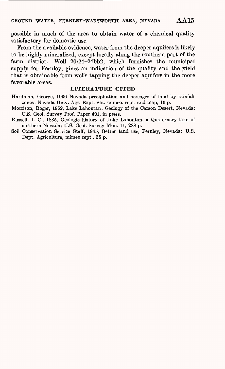possible in much of the area to obtain water of a chemical quality

satisfactory for domestic use. From the available evidence, water from the deeper aquifers is likely to be highly mineralized, except locally along the southern part of the farm district. Well 20/24-24bb2, which furnishes the municipal supply for Fernley, gives an indication of the quality and the yield that is obtainable from wells tapping the deeper aquifers in the more favorable areas.

#### **LITERATURE CITED**

- Hardman, George, 1936 Nevada precipitation and acreages of land by rainfall zones: Nevada Univ. Agr. Expt. Sta. mimeo. rept. and map, 10 p.
- Morrison, Roger, 1962, Lake Lahontan: Geology of the Carson Desert, Nevada: U.S. Geol. Survey Prof. Paper 401, in press.
- Russell, I. C., 1885, Geologic history of Lake Lahontan, a Quaternary lake of northern Nevada: U.S. Geol. Survey Mon. 11, 288 p.
- Soil Conservation Service Staff, 1945, Better land use, Fernley, Nevada: U.S. Dept. Agriculture, mimeo rept., 35 p.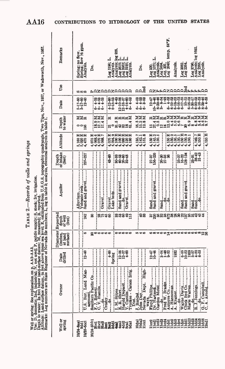TABLE 2. *Records of wells and springs*  TABLE 2.-Records of wells and springs

Well or spring: See explanation on p. AA2-AA3.

Use: D, domestic; Ind, industrial; N, not used; P, public supply; S, stock; Irr, irrigation.

Well or spring: See explanation on p. AA2-AA3.<br>Use: D. or oriente: Incl. holdustrial: N. not used: P.; public subsection for the intension.<br>D. D. S. Comestic: Incl. holdustrial: N. not used: P.; public subsection. The stic Altitude: Land-surface datum, in feet above mean sea level; E, estimated from U.S.O.S. topographic quadrangle. Two Tips, Nev., 1957, or Wadsworth, Nev., 1957. Depth to water: In feet below land-surface datum; M, measured; R, reported.

|                                                                                                                            | Remarks                                                                                                           | temp. 64°F.<br>Spring; no flow.<br>Spring; flow ½ gpm.<br>Analysis.<br>Log 3790,<br>Analysis; log 1692.<br>Log 2265,<br>Analysis,<br>983.<br>9<br>⊡⊶⊶<br>Log 330.<br>Log 1071; L.<br>Analysis.<br>Analysis.<br>Log 331.<br>Log 2045; ten<br>Ļ<br>$\begin{array}{l} \textbf{Analysis:} \ \textbf{1} \\ \textbf{Log 3610:} \ \textbf{I} \\ \textbf{Log 3952:} \ \textbf{I} \\ \textbf{Log 5195:} \ \textbf{I} \\ \textbf{Log 5195:} \ \textbf{I} \end{array}$<br>Log 5196; 1<br>Analysis.<br>Analysis.<br>Log 3062.<br>Log 2264.<br>å<br>å |
|----------------------------------------------------------------------------------------------------------------------------|-------------------------------------------------------------------------------------------------------------------|------------------------------------------------------------------------------------------------------------------------------------------------------------------------------------------------------------------------------------------------------------------------------------------------------------------------------------------------------------------------------------------------------------------------------------------------------------------------------------------------------------------------------------------|
|                                                                                                                            | Use                                                                                                               | ರರ¤<br>AAZAAAZAAAAA<br><b>00:00:00</b>                                                                                                                                                                                                                                                                                                                                                                                                                                                                                                   |
|                                                                                                                            | Date                                                                                                              | $1 - 48$<br>$\frac{6-19-33}{6-18}$<br><b>8888588888</b><br>91998898+<br>77988784+<br>99 949984<br>888<br>444<br>$48.848$<br>$9.2948$<br>$9.2948$<br>0– 4–33<br>Տ<br>388<br>444<br>615-33<br>415-33<br>415-3<br>$12 - 18 - 57$<br>12-10-55<br>12-18-57<br>$12 - 47$<br>$512$<br>$512$<br>$+14.53$<br>$+14$<br>ዋዋኖ<br>ዋዋዋ                                                                                                                                                                                                                  |
|                                                                                                                            | Depth<br>to water                                                                                                 | zzz<br><b>¤ZZAdZAAZZZAAZZZZZ</b><br>≍≍¤<br>zzz<br>ಜ¤¤¤≍<br>笜<br>FROUND ARREST CAST<br>$\frac{9}{17.4}$<br>5 2 2<br>15 2 2<br>5<br>53825<br>ನ್<br>ီး                                                                                                                                                                                                                                                                                                                                                                                      |
|                                                                                                                            | Altitude                                                                                                          | 4,135 E<br>一国<br>国国国<br>4.075 E<br>4.068.7<br>4.4.068.7<br>4.4.068.7<br>$4,135,7$<br>$4,142,3$<br>$4,151,8$<br>$4,150,3$<br>$4,150,5$<br>$4,150,5$<br>4,149.7<br>5,020<br>5,020<br>4,470                                                                                                                                                                                                                                                                                                                                                 |
|                                                                                                                            | Depth<br>of intake                                                                                                | <br> ಸ್ಥಾತಕ<br> ಸ್ಥಿಪವ<br>ភ្នុង<br>អង្គ<br>អង្គ<br>$225 - 227$<br>$27 - 37$<br>156–220<br>ತ್ವಜ್ಞ<br>ನಗ<br>iအအခုအ<br>iခွန်ခွန်း<br>43-60                                                                                                                                                                                                                                                                                                                                                                                                  |
|                                                                                                                            | Aquifer                                                                                                           | sand and gravel<br>Volcanic rock<br>Sand and gravel<br>Sand and gravel<br>Lake beds<br>Alluvium<br>Gravel<br>$-100$<br><br>Sand<br>Sand<br>$$ -do<br>Gravel<br>Gravel<br>؋<br>!<br>Sand                                                                                                                                                                                                                                                                                                                                                  |
|                                                                                                                            | $\det_{\text{well}}^{\text{left}}$                                                                                | <b>ኤ</b> ន្តូ <del>ឌ</del> ឌឌន្ទ្រូឌឌឧន្ទ្ទុឌឌឌន្<br>8548<br><b>sseern</b><br>ទន<br>242<br>g                                                                                                                                                                                                                                                                                                                                                                                                                                             |
|                                                                                                                            | Diameter Reported<br>$\begin{array}{c}\n\text{(inches,}\n\text{at land}\n\text{and}\n\text{surface}\n\end{array}$ | もるまちらは686666668辺辺<br>ౚౢౢ౿౿౿౿౿<br><br>∞<br>1040                                                                                                                                                                                                                                                                                                                                                                                                                                                                                           |
|                                                                                                                            | Date<br>drilled                                                                                                   | i# ఇజ<br>' స్—ఉ<br>និងនិឌុខន្ធ<br>!ទទួន ខ្ញុំ<br>!ទុកី<br>858<br>224<br>1932<br>$\frac{1}{2}$<br>$\frac{12-47}{10-46}$<br>$\frac{1}{2}$<br>Spring                                                                                                                                                                                                                                                                                                                                                                                        |
| Remarks: Log numbers are State Engineer of Nevada file numbers; L, log in table 3; analysis, chemical analysis in table 1. | Owner                                                                                                             | High-<br>acific Co<br>Garson Irrig.<br>Land Man<br>wayne Davis<br>Dept.<br>Chick Bed Co<br>Marie Warren<br>ings<br>$G. F. Campbell$<br>$C. A. A model.$<br>$\frac{1}{1000}$<br>$-10 -$<br>V. Cantlin<br>$\overline{\text{R. J. J}}$ ennir<br>agement<br>Truckee<br>Dist.<br>J. Randal.<br>John Day<br>Nevada I<br>U.S. Bur.                                                                                                                                                                                                              |
|                                                                                                                            | Well or<br>spring                                                                                                 | .<br>일명윙쭹쀵쿈엳역역역역연역역역명<br>미리미리미미미미미리미리미리역<br>aaa<br>Baas<br>$20/24 - 3$ bb<br>ីខ្លួន ខ្លូដូដូដូឡូដូដូ<br>ដឹងនិងមាននិង<br>19/24-8aa7<br>19/25-600<br>3 <sub>bol</sub><br>9dd?                                                                                                                                                                                                                                                                                                                                                              |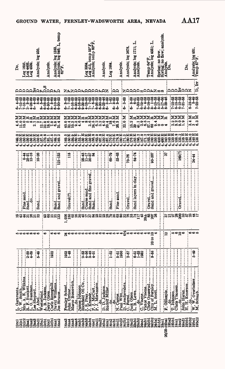| នំ                          | Log 1605.<br>Log 4403.<br>Log 4539.                                                    |        | Analysis; log 930.    | Analysis                                                                                         |                                                                    | Analysis; log 1383.<br>Analysis; log 646; L, temp<br>62°F. |                                                                                                               |                 |                                                 | Log 3384.<br>Log 415, temp 55°F                           | Analysis; temp 60°. |                     | Analysis                       | Log 1884  |                          | Analysis                | Analysis; log 3678                  |                            | Analysis; log 1711; L.<br>Analysis.                               |                         | Temp 64°F.<br>Analysis; log 4031; L |                                                    |                      | Spring; no flow,<br>Spring; no flow; analysis.<br>Analysis. |                |                               |                            | å.                              |         | Analysis; log 931<br>Temp 57°F.                                           |
|-----------------------------|----------------------------------------------------------------------------------------|--------|-----------------------|--------------------------------------------------------------------------------------------------|--------------------------------------------------------------------|------------------------------------------------------------|---------------------------------------------------------------------------------------------------------------|-----------------|-------------------------------------------------|-----------------------------------------------------------|---------------------|---------------------|--------------------------------|-----------|--------------------------|-------------------------|-------------------------------------|----------------------------|-------------------------------------------------------------------|-------------------------|-------------------------------------|----------------------------------------------------|----------------------|-------------------------------------------------------------|----------------|-------------------------------|----------------------------|---------------------------------|---------|---------------------------------------------------------------------------|
|                             |                                                                                        |        |                       |                                                                                                  |                                                                    |                                                            | ZAZAAAAAAAAAZ                                                                                                 |                 |                                                 |                                                           |                     |                     |                                |           | ¦AA                      |                         |                                     |                            | 1ZAAAA∞AAAZ∞∞                                                     |                         |                                     |                                                    |                      |                                                             |                |                               |                            | iaaaäaaz                        |         | ۱Ė<br>id.                                                                 |
|                             | <b>수</b><br>- 구구수 역<br>- 국무 역동 출동 <del>출</del><br>청요 영영 영영 영                           |        |                       |                                                                                                  | ႜႜႜႜႜၟၛၟၛၟႜၛၛၟ<br>ၣႜၛႍႍၛၟၣၣၛ<br>ၜႜၛၛၟၟၛၛၟၛၟ                        |                                                            | ଵഺଵଵଵଡ଼ଡ଼୵୵୵ଵଵଡ଼ଵ<br>ଡ଼୵ଵୖଵୖଢ଼ୖଵୖଢ଼୕୷ଡ଼ୖଵୖଌୖୡୣ୰୷ଡ଼ଡ଼<br>ଌ୕ଌ୕ଌଌଌଌଌଌଌଌଌଌ                                        |                 |                                                 |                                                           |                     |                     |                                |           |                          |                         | ុន<br>.<br>d,                       |                            | ႜ<br>ၜၜၜႜၟၣႜ႞ၜၟၣၣၜၜ<br>ၜၜၣၣၣၣၣၣၣ                                  |                         |                                     |                                                    |                      |                                                             |                | <b>aaaa</b><br>BBBa<br>RBBR   |                            |                                 | 89-91-9 | <b>85-83-4</b><br>85-83-4                                                 |
|                             | ooonn-<br>449 c                                                                        | 2.1    |                       |                                                                                                  | <b>XXXXxxxxxxx</b><br>ರ್ಜಂತಂತ್ರ<br>ವಿಜೆಪ್ಲೆ ವೈ                     |                                                            | 83524、 。 。 《 484448. 128<br>043364864853764863<br>2822858822222227<br>ဝ <del>မကကမ္း</del><br>ထို့လွဲတဲ့ အိမ္န |                 |                                                 |                                                           |                     |                     |                                |           |                          |                         | 22.0 M                              |                            | <b>AAXXXXAXXA</b><br>်ဗ<br>အမြီး ၁၀၀၁ ( 4<br>မြီး ၁၀၀၀ ( 4 ၁၀၀၀ ) |                         |                                     |                                                    |                      |                                                             |                | XXXX<br>aaoo<br>aaad          |                            |                                 |         | XaX<br>*<br>***                                                           |
|                             |                                                                                        |        |                       |                                                                                                  | ۵ņ                                                                 |                                                            | ؋<br>역중명중영영영영영중중영영영양당당정학정영영양정지대정영영영영영영영영영영영영영<br>• 비행부 - 비행보호 • 이 사이에 사이에 대한 비행 이 사이에 대한 비행보 이 사이에 이          |                 |                                                 |                                                           |                     |                     |                                |           |                          |                         |                                     |                            |                                                                   |                         |                                     |                                                    |                      |                                                             |                |                               |                            |                                 |         | 수뇌비                                                                       |
|                             | Jaa<br>Jaa                                                                             |        | $6-20$                |                                                                                                  |                                                                    | $21 - 133$                                                 | $\overline{116}$                                                                                              |                 |                                                 | 용능법<br>청금영                                                |                     |                     |                                | $60 - 79$ | i3-68                    |                         | $70 - 76$                           |                            | $\frac{1}{64}$                                                    |                         |                                     | 90-207                                             |                      | is.                                                         |                |                               | 100(7)                     |                                 |         | 24-44                                                                     |
|                             | Fine sand<br>Sand                                                                      | .<br>ب | Sand                  |                                                                                                  | Sand<br>Sand and gravel                                            |                                                            | Graval(7)                                                                                                     |                 | Sand                                            | Sand and fine gravel<br><b>Coarse sand</b>                | Sand                |                     |                                | Sand      | Fine sand                |                         | Grave.                              |                            | Sand layers in clay                                               |                         | Gravel                              | graye<br>Sand and                                  |                      |                                                             |                |                               | Grave                      |                                 |         |                                                                           |
|                             | <b>2335858</b>                                                                         |        |                       |                                                                                                  | នទីដូងឆ្ន                                                          |                                                            | ggesserhessaassesesses<br>Sgesserhessaasses                                                                   |                 |                                                 |                                                           |                     |                     |                                |           |                          |                         |                                     |                            |                                                                   |                         |                                     | ౚ౺ఀఀౙఀఀౙ                                           |                      |                                                             |                |                               |                            |                                 |         | <b>ងដង</b> ឌីនិនឌងដ                                                       |
|                             | .                                                                                      |        |                       | ٠                                                                                                | ಀಀ                                                                 |                                                            |                                                                                                               |                 |                                                 |                                                           |                     |                     |                                |           |                          |                         |                                     |                            |                                                                   |                         |                                     | 20 to                                              |                      | ∶≌                                                          |                | မေဇာ                          |                            |                                 |         | ಅಅ                                                                        |
|                             | 28                                                                                     |        | i₹                    |                                                                                                  | 82                                                                 |                                                            | <b>1953</b>                                                                                                   |                 |                                                 | i8895<br> -<br> -                                         |                     |                     |                                | $-52$     |                          | <b>158</b>              | $\frac{1}{2}$                       |                            | <u>ုဒုဒုဒ္ဓ</u>                                                   |                         |                                     | $3 - 58$                                           |                      |                                                             |                |                               |                            |                                 |         | Ĵ                                                                         |
| L. Garaventa<br>C. W. Smith | Vilkins.<br>Mrs. A. E. With Highland<br>R. F. Bunkett<br>L. O. Bassban<br>Lee Shepard. |        | P. Abel<br>Westerland |                                                                                                  | A. B. Jackson<br>Jerry Olson<br>Carlo Ronegialli<br>David Williams | Joe Strauss                                                | Fernley School<br>John Urrizar                                                                                | Marco Boscovich | ဗီ<br>------do<br>James Johnso<br>Richfield Oil | J. 8. Pray<br>J. Kramer<br>P. J. Mortens<br>P. J. Mortens |                     | <b>GOD</b><br>$-40$ | D. D. Jackson<br>Rudolf Miller | $-100$    | $\frac{d^0}{N}$ . Carros | Paul Witt <sub>-a</sub> | leta.<br>D. Arechevale<br>C. Ferrel | Jack Olson.<br>L. B. Lowe. |                                                                   | $\overline{C}$ . Vlaene | Victor Viaene.                      | Chris Gasserud.<br>City of Fernley.<br>M. L. Scott |                      | F. Gillespie.                                               |                | Chris Thuesen<br>$T.$ Johnson | John Haran.<br>John Haran. | H.H. Emers                      |         | nolsei<br>$\overline{W}$ , $\overline{W}$ , Overh $\overline{M}$ , Schaub |
|                             |                                                                                        |        |                       | ខ្លួន ដូចខ្លួន ដូចខ្លួន ដូចខ្លួន<br>កំពុងធ្វើកំពុងធ្វើកំពុងឆ្នាំ<br>កំពុងធ្វើកំពុងឆ្នាំ ដូចខ្លួន | 14aa1<br>14aa2                                                     |                                                            | 4aa3<br>14aa4                                                                                                 |                 |                                                 | 4886<br>4886<br>4884884<br>488488                         |                     |                     |                                |           |                          |                         |                                     |                            | nda<br>Tanang Panggangang<br>Tanang Panggangan                    |                         |                                     |                                                    | add<br>अवस्थ<br>अन्न | 20/25-18ba1                                                 | 18ba2<br>18bb1 | Scol                          | 8002                       | <b>ana</b><br><b>ana</b><br>ana |         | 19bd2<br>19bd2                                                            |

GROUND WATER, FERNLEY-WADSWORTH AREA, NEVADA AA17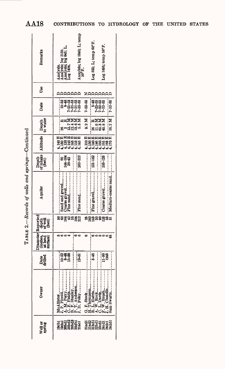| ĺ<br>i                         |
|--------------------------------|
| i                              |
| in men<br>$\ddot{\phantom{0}}$ |
| <br>$\ddot{\phantom{a}}$<br>ì  |
| į                              |
|                                |
|                                |
| l                              |

| Remarks                                                                   | Anaylsis; log 1840; L; temp<br>59°F.<br>Log 503; L; temp $60^{\circ}$ F.<br>Log 1495; temp 58°F.<br>Analysis.<br>Analysis; log 2159.<br>Analysis; log 645; L.<br>Log 1494. |
|---------------------------------------------------------------------------|----------------------------------------------------------------------------------------------------------------------------------------------------------------------------|
| Ů8                                                                        | zı                                                                                                                                                                         |
| Date                                                                      | 722.53<br>ន្ទន្ទន្ទន្ទន្ទ<br>ទង្គន្ធន្ទន្ទ្រ<br>ន្ទ្រីន្ទ្រី<br>$7 - 22 - 53$<br>   8888<br> -<br>  8888<br> -                                                             |
| Depth<br>to water                                                         | 16.2 M<br>0.2 M<br>8~5지지<br>8~1100<br>8~5100<br><b>RZZZ<br/>SHORS<br/>SHORS</b>                                                                                            |
| Altitude                                                                  | Francessk<br>Beber<br>1744年17                                                                                                                                              |
| Depth<br>of intake<br>(feet)                                              | $202 - 212$<br>131-142<br>103-123<br>ទទីង<br>ទី អ្នក<br>ទី អ្នក                                                                                                            |
| Aquifer                                                                   | Medium-coarse sand <br>Coarse gravel________<br>Fine gravel<br>Fine sand                                                                                                   |
| Diameter Reported<br>(inches, depth<br>at land of well<br>surface) (feet) | នទន្នងនន្ទីដី<br><b>ន</b> ទ្ឋមិនខន្មីនឹង                                                                                                                                   |
|                                                                           | œ<br>းကေတတ္                                                                                                                                                                |
| Date<br>drilled                                                           | ដឹងដ<br>ដូ <del>ង</del> ៩<br>\$48<br>11-50<br>1945<br>iā<br>!                                                                                                              |
| ទ<br>g                                                                    | <br><br>:<br>:<br>:<br>:<br>ao<br>:::::<br>::<br>nE<br>¤¤                                                                                                                  |
| Well or<br>spring                                                         | ដ្ឋធម្មដូច<br>ទទួនខ្លួនខ្លួន<br>ទទួនខ្លួនខ្លួន<br>ដូម្លីដូម្លីដូម្លីដូ<br>ដូម្លីដូម្លីដូម្លីដូ<br>ដូម្លីដូម្លីដូម្លីដូ                                                     |

ł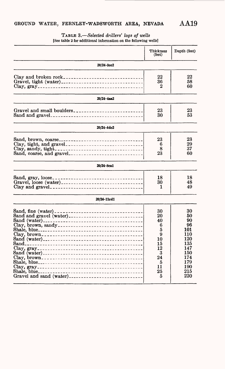## TABLE 3. *Selected drillers' logs of wells*  [See table 2 for additional information on the following wells]

|                                              | Thickness<br>(feet)                                                              | Depth (feet)                                                                                      |
|----------------------------------------------|----------------------------------------------------------------------------------|---------------------------------------------------------------------------------------------------|
| 20/24-3cc2                                   |                                                                                  |                                                                                                   |
| Clay, gray                                   | 22<br>36<br>2                                                                    | 22<br>58<br>60                                                                                    |
| $20/24 - 4aa2$                               |                                                                                  |                                                                                                   |
| Gravel and small boulders<br>Sand and gravel | 23<br>30                                                                         | 23<br>53                                                                                          |
| 20/24-4dc2                                   |                                                                                  |                                                                                                   |
| Sand, coarse, and gravel                     | 23<br>6<br>8<br>23                                                               | 23<br>29<br>37<br>60                                                                              |
| $20/24 - 8ca1$                               |                                                                                  |                                                                                                   |
| Clay and gravel                              | 18<br>30<br>1                                                                    | 18<br>48<br>49                                                                                    |
| 20/24-11cd1                                  |                                                                                  |                                                                                                   |
|                                              | 30<br>20<br>40<br>6<br>5<br>9<br>10<br>15<br>12<br>3<br>24<br>5<br>11<br>25<br>5 | 30<br>50<br>90<br>96<br>101<br>110<br>120<br>135<br>147<br>150<br>174<br>179<br>190<br>215<br>220 |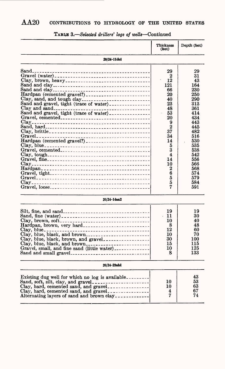## AA20 CONTRIBUTIONS TO HYDROLOGY OF THE UNITED STATES

|                                                                                                                                                                                                                      | <b>Thickness</b><br>(feet)                                                                                                                                    | Depth (feet)                                                                                                                                                                    |
|----------------------------------------------------------------------------------------------------------------------------------------------------------------------------------------------------------------------|---------------------------------------------------------------------------------------------------------------------------------------------------------------|---------------------------------------------------------------------------------------------------------------------------------------------------------------------------------|
| 20/24-11dcl                                                                                                                                                                                                          |                                                                                                                                                               |                                                                                                                                                                                 |
| Clay, brown, heavy----------------------------------<br>Hardpan (cemented gravel?)<br>Sand and gravel, tight (trace of water)<br>Sand and gravel, tight (trace of water) _______________<br>Gravel, cemented         | 29<br>2<br>12<br>121<br>66<br>20<br>40<br>23<br>48<br>53<br>20<br>9<br>$\boldsymbol{2}$<br>37<br>34<br>14<br>5<br>3<br>4<br>14<br>10<br>2<br>6<br>5<br>5<br>7 | 29<br>31<br>43<br>164<br>230<br>250<br>290<br>313<br>361<br>414<br>434<br>443<br>445<br>482<br>516<br>530<br>535<br>538<br>542<br>556<br>566<br>568<br>574<br>579<br>584<br>591 |
| 20/24-14aa2                                                                                                                                                                                                          |                                                                                                                                                               |                                                                                                                                                                                 |
| Hardpan, brown, very hard<br>Clay, blue, black, and brown<br>Sand and small gravel                                                                                                                                   | 19<br>11<br>10<br>8<br>12<br>10<br>30<br>15<br>10<br>8                                                                                                        | 19<br>30<br>40<br>48<br>60<br>70<br>100<br>115<br>125<br>133                                                                                                                    |
| 20/24-23abl                                                                                                                                                                                                          |                                                                                                                                                               |                                                                                                                                                                                 |
| Existing dug well for which no log is available<br>Sand, soft, silt, clay, and gravel<br>Clay, hard, cemented sand, and gravel<br>Clay, hard, cemented sand, and gravel<br>Alternating layers of sand and brown clay | 10<br>10<br>4<br>7                                                                                                                                            | 43<br>53<br>63<br>67<br>74                                                                                                                                                      |

## TABLE 3.-Selected drillers' logs of wells-Continued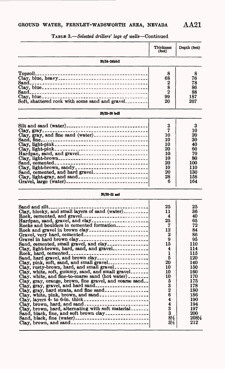|                                                                                                                                                                                                                                                                                                                                                                                                                                                                                                                                                                                                                                                                                                                                                                                                                                   | Thickness<br>(feet)                                                                                                                       | Depth (feet)                                                                                                                                                                |
|-----------------------------------------------------------------------------------------------------------------------------------------------------------------------------------------------------------------------------------------------------------------------------------------------------------------------------------------------------------------------------------------------------------------------------------------------------------------------------------------------------------------------------------------------------------------------------------------------------------------------------------------------------------------------------------------------------------------------------------------------------------------------------------------------------------------------------------|-------------------------------------------------------------------------------------------------------------------------------------------|-----------------------------------------------------------------------------------------------------------------------------------------------------------------------------|
| 20/24-24bb2                                                                                                                                                                                                                                                                                                                                                                                                                                                                                                                                                                                                                                                                                                                                                                                                                       |                                                                                                                                           |                                                                                                                                                                             |
| Clay, blue<br>Soft, shattered rock with some sand and gravel                                                                                                                                                                                                                                                                                                                                                                                                                                                                                                                                                                                                                                                                                                                                                                      | 8<br>68<br>$\boldsymbol{2}$<br>8<br>$\overline{2}$<br>99<br>20                                                                            | 8<br>76<br>78<br>86<br>88<br>187<br>207                                                                                                                                     |
| 20/25-20 bdl                                                                                                                                                                                                                                                                                                                                                                                                                                                                                                                                                                                                                                                                                                                                                                                                                      |                                                                                                                                           |                                                                                                                                                                             |
| Silt and sand (water)---------------------------------<br>Clay, light-brown, sandy<br>Sand, cemented, and hard gravel                                                                                                                                                                                                                                                                                                                                                                                                                                                                                                                                                                                                                                                                                                             | 3<br>7<br>10<br>10<br>10<br>20<br>10<br>10<br>20<br>10<br>20<br>28<br>6                                                                   | 3<br>10<br>20<br>30<br>40<br>60<br>70<br>80<br>100<br>110<br>130<br>158<br>164                                                                                              |
| 20/25-21 acl                                                                                                                                                                                                                                                                                                                                                                                                                                                                                                                                                                                                                                                                                                                                                                                                                      |                                                                                                                                           |                                                                                                                                                                             |
| Sand and silt__________<br>---------------- <br>.<br>Clay, blocky, and small layers of sand (water) _________<br>Rock, cemented, and gravel<br>Gravel, very hard, cemented------------------------<br>Clay, light-brown, hard, sand, and gravel<br>Rock, hard, cemented<br>Sand, hard gravel, and brown clay<br>Clay, pink, soft, sand, and small gravel<br>Clay, rusty-brown, hard, and small gravel<br>Clay, white, soft, gummy, sand, and small gravel_______<br>Clay, white, and fine-to-coarse sand (hot water)_________<br>Clay, gray, orange, brown, fine gravel, and coarse sand<br>Clay, gray, gravel, and hard sand<br>Clay, gray, hard strata, and fine sand-<br>Clay, brown, hard, alternating with soft material<br>Sand, black, fine, and soft brown clay<br>Sand, black, fine (water)----------------------------- | 25<br>11<br>4<br>25<br>7<br>12<br>$\bf{2}$<br>9<br>15<br>4<br>1<br>5<br>20<br>10<br>10<br>10<br>5<br>$32644$<br>$43338$<br>$8\frac{1}{2}$ | 25<br>36<br>40<br>65<br>72<br>84<br>86<br>95<br>110<br>114<br>115<br>120<br>140<br>150<br>160<br>170<br>175<br>178<br>180<br>186<br>190<br>194<br>197<br>200<br>208½<br>212 |

## TABLE 3.<sup>-Selected drillers' logs of wells-Continued</sup>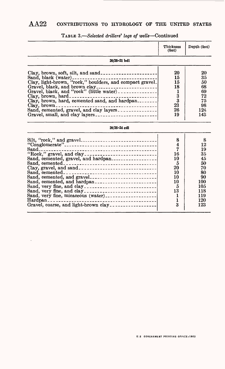## AA22 CONTRIBUTIONS TO HYDROLOGY OF THE UNITED STATES

|                                                                                                                                                                                                                                                                                       | Thickness<br>(feet)                                                            | Depth (feet)                                                                                |
|---------------------------------------------------------------------------------------------------------------------------------------------------------------------------------------------------------------------------------------------------------------------------------------|--------------------------------------------------------------------------------|---------------------------------------------------------------------------------------------|
| 20/25-21 bdl                                                                                                                                                                                                                                                                          |                                                                                |                                                                                             |
| Sand, black (water)<br>Clay, light-brown, "rock," boulders, and compact gravel.<br>Clay, brown, hard___________<br>------------------- <br>Clay, brown, hard, cemented sand, and hardpan<br>Clay, $brown$<br>. _ _ _ _ _ _ _ _ _ _ _ _ _ _<br>Sand, cemented, gravel, and clay layers | 20<br>15<br>15<br>18<br>1<br>3<br>3<br>23<br>26<br>19                          | 20<br>35<br>50<br>68<br>69<br>72<br>75<br>98<br>124<br>143                                  |
| 20/25-24 cdl                                                                                                                                                                                                                                                                          |                                                                                |                                                                                             |
| $Sand$ <sub>--</sub><br>Sand, cemented, gravel, and hardpan<br>Sand, cemented, and hardpan<br>Sand, very fine, micaceous (water)-------------------                                                                                                                                   | 8<br>4<br>7<br>16<br>10<br>5<br>20<br>10<br>10<br>10<br>5<br>13<br>1<br>1<br>3 | 8<br>12<br>19<br>35<br>45<br>50<br>70<br>80<br>90<br>100<br>105<br>118<br>119<br>120<br>123 |

J.

TABLE 3.<sup>-Selected</sup> drillers' logs of wells-Continued